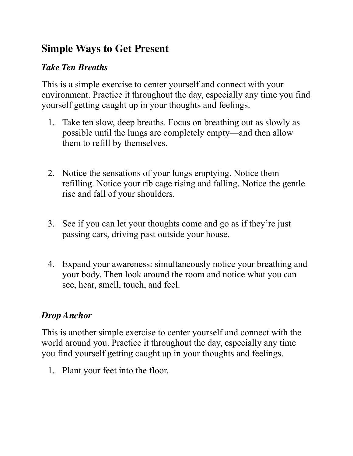# **Simple Ways to Get Present**

## *Take Ten Breaths*

This is a simple exercise to center yourself and connect with your environment. Practice it throughout the day, especially any time you find yourself getting caught up in your thoughts and feelings.

- 1. Take ten slow, deep breaths. Focus on breathing out as slowly as possible until the lungs are completely empty—and then allow them to refill by themselves.
- 2. Notice the sensations of your lungs emptying. Notice them refilling. Notice your rib cage rising and falling. Notice the gentle rise and fall of your shoulders.
- 3. See if you can let your thoughts come and go as if they're just passing cars, driving past outside your house.
- 4. Expand your awareness: simultaneously notice your breathing and your body. Then look around the room and notice what you can see, hear, smell, touch, and feel.

## *Drop Anchor*

This is another simple exercise to center yourself and connect with the world around you. Practice it throughout the day, especially any time you find yourself getting caught up in your thoughts and feelings.

1. Plant your feet into the floor.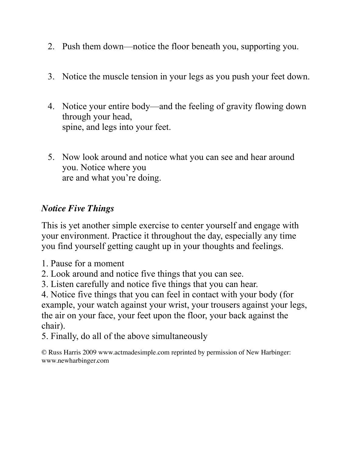- 2. Push them down—notice the floor beneath you, supporting you.
- 3. Notice the muscle tension in your legs as you push your feet down.
- 4. Notice your entire body—and the feeling of gravity flowing down through your head, spine, and legs into your feet.
- 5. Now look around and notice what you can see and hear around you. Notice where you are and what you're doing.

## *Notice Five Things*

This is yet another simple exercise to center yourself and engage with your environment. Practice it throughout the day, especially any time you find yourself getting caught up in your thoughts and feelings.

- 1. Pause for a moment
- 2. Look around and notice five things that you can see.
- 3. Listen carefully and notice five things that you can hear.

4. Notice five things that you can feel in contact with your body (for example, your watch against your wrist, your trousers against your legs, the air on your face, your feet upon the floor, your back against the chair).

5. Finally, do all of the above simultaneously

© Russ Harris 2009 www.actmadesimple.com reprinted by permission of New Harbinger: www.newharbinger.com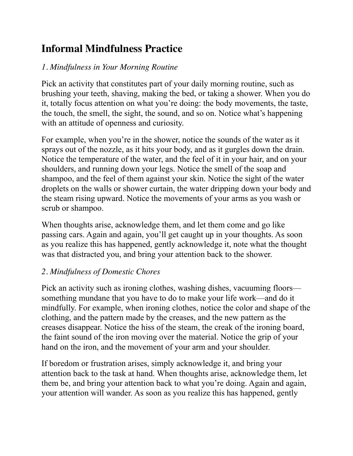# **Informal Mindfulness Practice**

#### *1. Mindfulness in Your Morning Routine*

Pick an activity that constitutes part of your daily morning routine, such as brushing your teeth, shaving, making the bed, or taking a shower. When you do it, totally focus attention on what you're doing: the body movements, the taste, the touch, the smell, the sight, the sound, and so on. Notice what's happening with an attitude of openness and curiosity.

For example, when you're in the shower, notice the sounds of the water as it sprays out of the nozzle, as it hits your body, and as it gurgles down the drain. Notice the temperature of the water, and the feel of it in your hair, and on your shoulders, and running down your legs. Notice the smell of the soap and shampoo, and the feel of them against your skin. Notice the sight of the water droplets on the walls or shower curtain, the water dripping down your body and the steam rising upward. Notice the movements of your arms as you wash or scrub or shampoo.

When thoughts arise, acknowledge them, and let them come and go like passing cars. Again and again, you'll get caught up in your thoughts. As soon as you realize this has happened, gently acknowledge it, note what the thought was that distracted you, and bring your attention back to the shower.

### *2. Mindfulness of Domestic Chores*

Pick an activity such as ironing clothes, washing dishes, vacuuming floors something mundane that you have to do to make your life work—and do it mindfully. For example, when ironing clothes, notice the color and shape of the clothing, and the pattern made by the creases, and the new pattern as the creases disappear. Notice the hiss of the steam, the creak of the ironing board, the faint sound of the iron moving over the material. Notice the grip of your hand on the iron, and the movement of your arm and your shoulder.

If boredom or frustration arises, simply acknowledge it, and bring your attention back to the task at hand. When thoughts arise, acknowledge them, let them be, and bring your attention back to what you're doing. Again and again, your attention will wander. As soon as you realize this has happened, gently